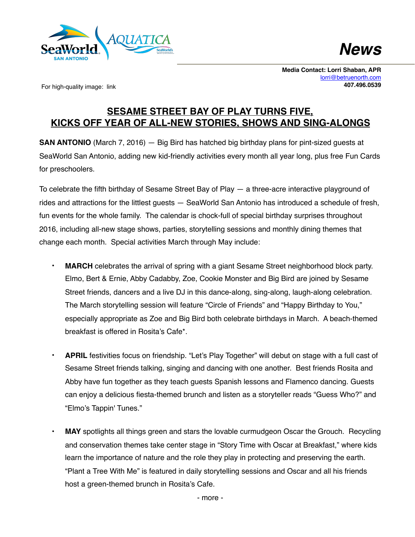



**Media Contact: Lorri Shaban, APR** [lorri@betruenorth.com](mailto:lorri@betruenorth.com) **407.496.0539**

For high-quality image: link

## **SESAME STREET BAY OF PLAY TURNS FIVE, KICKS OFF YEAR OF ALL-NEW STORIES, SHOWS AND SING-ALONGS**

**SAN ANTONIO** (March 7, 2016) — Big Bird has hatched big birthday plans for pint-sized guests at SeaWorld San Antonio, adding new kid-friendly activities every month all year long, plus free Fun Cards for preschoolers.

To celebrate the fifth birthday of Sesame Street Bay of Play — a three-acre interactive playground of rides and attractions for the littlest guests — SeaWorld San Antonio has introduced a schedule of fresh, fun events for the whole family. The calendar is chock-full of special birthday surprises throughout 2016, including all-new stage shows, parties, storytelling sessions and monthly dining themes that change each month. Special activities March through May include:

- **MARCH** celebrates the arrival of spring with a giant Sesame Street neighborhood block party. Elmo, Bert & Ernie, Abby Cadabby, Zoe, Cookie Monster and Big Bird are joined by Sesame Street friends, dancers and a live DJ in this dance-along, sing-along, laugh-along celebration. The March storytelling session will feature "Circle of Friends" and "Happy Birthday to You," especially appropriate as Zoe and Big Bird both celebrate birthdays in March. A beach-themed breakfast is offered in Rosita's Cafe\*.
- **APRIL** festivities focus on friendship. "Let's Play Together" will debut on stage with a full cast of Sesame Street friends talking, singing and dancing with one another. Best friends Rosita and Abby have fun together as they teach guests Spanish lessons and Flamenco dancing. Guests can enjoy a delicious fiesta-themed brunch and listen as a storyteller reads "Guess Who?" and "Elmo's Tappin' Tunes."
- **MAY** spotlights all things green and stars the lovable curmudgeon Oscar the Grouch. Recycling and conservation themes take center stage in "Story Time with Oscar at Breakfast," where kids learn the importance of nature and the role they play in protecting and preserving the earth. "Plant a Tree With Me" is featured in daily storytelling sessions and Oscar and all his friends host a green-themed brunch in Rosita's Cafe.